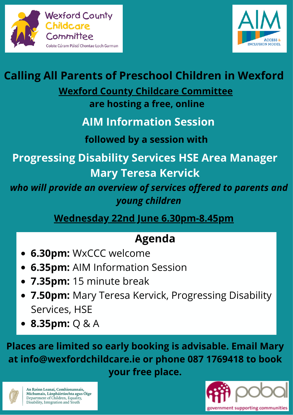



# **Calling All Parents of Preschool Children in Wexford**

## **Wexford County Childcare Committee**

**are hosting a free, online**

## **AIM Information Session**

#### **followed by a session with**

**Progressing Disability Services HSE Area Manager Mary Teresa Kervick**

*who will provide an overview of services offered to parents and young children*

**Wednesday 22nd June 6.30pm-8.45pm**

# **Agenda**

- **6.30pm:** WxCCC welcome
- **6.35pm:** AIM Information Session
- **7.35pm:** 15 minute break
- **7.50pm:** Mary Teresa Kervick, Progressing Disability Services, HSE
- **8.35pm:** Q & A

**Places are limited so early booking is advisable. Email Mary at info@wexfordchildcare.ie or phone 087 1769418 to book your free place.**



An Roinn Leanaí, Comhionannais,<br>Míchumais, Lánpháirtíochta agus Óige<br>Department of Children, Equality, Disability, Integration and Youth